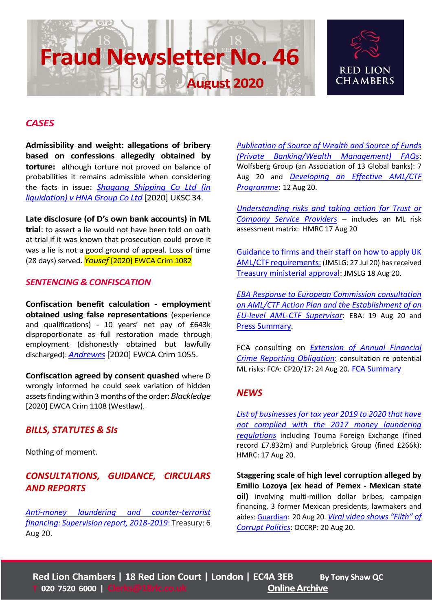# **Fraud Newsletter No. 46**

**August 2020** 



### *CASES*

**Admissibility and weight: allegations of bribery based on confessions allegedly obtained by torture:** although torture not proved on balance of probabilities it remains admissible when considering the facts in issue: *[Shagang Shipping Co Ltd \(in](https://www.bailii.org/uk/cases/UKSC/2020/34.pdf)  [liquidation\) v HNA Group Co Ltd](https://www.bailii.org/uk/cases/UKSC/2020/34.pdf)* [2020] UKSC 34.

**Late disclosure (of D's own bank accounts) in ML trial**: to assert a lie would not have been told on oath at trial if it was known that prosecution could prove it was a lie is not a good ground of appeal. Loss of time (28 days) served. *Yousef* [2020] EWCA Crim 1082

#### *SENTENCING & CONFISCATION*

**Confiscation benefit calculation - employment obtained using false representations** (experience and qualifications) - 10 years' net pay of £643k disproportionate as full restoration made through employment (dishonestly obtained but lawfully discharged): *[Andrewes](https://www.bailii.org/ew/cases/EWCA/Crim/2020/1055.pdf)*[2020] EWCA Crim 1055.

**Confiscation agreed by consent quashed** where D wrongly informed he could seek variation of hidden assets finding within 3 months of the order: *Blackledge* [2020] EWCA Crim 1108 (Westlaw).

## *BILLS, STATUTES & SIs*

Nothing of moment.

# *CONSULTATIONS, GUIDANCE, CIRCULARS AND REPORTS*

*[Anti-money laundering and counter-terrorist](https://assets.publishing.service.gov.uk/government/uploads/system/uploads/attachment_data/file/907002/Supervision_report_18-19_final.pdf)  [financing: Supervision report, 2018-2019](https://assets.publishing.service.gov.uk/government/uploads/system/uploads/attachment_data/file/907002/Supervision_report_18-19_final.pdf)*: Treasury: 6 Aug 20.

*[Publication of Source of Wealth and Source of Funds](https://www.wolfsberg-principles.com/sites/default/files/wb/Wolfsberg%20SoW%20and%20SoF%20FAQs%20August%202020%20%28FFP%29_1.pdf)  [\(Private Banking/Wealth Management\) FAQs](https://www.wolfsberg-principles.com/sites/default/files/wb/Wolfsberg%20SoW%20and%20SoF%20FAQs%20August%202020%20%28FFP%29_1.pdf)*: Wolfsberg Group (an Association of 13 Global banks): 7 Aug 20 and *[Developing an Effective AML/CTF](https://www.wolfsberg-principles.com/sites/default/files/wb/Wolfsberg%20Effective%20Financial%20Crimes%20Programme%20-%20August2020%20%28FFP%29.pdf)  [Programme](https://www.wolfsberg-principles.com/sites/default/files/wb/Wolfsberg%20Effective%20Financial%20Crimes%20Programme%20-%20August2020%20%28FFP%29.pdf)*: 12 Aug 20.

*[Understanding risks and taking action for Trust or](https://www.gov.uk/government/publications/understanding-risks-and-taking-action-for-trust-or-company-service-providers/understanding-risks-and-taking-action-for-trust-or-company-service-providers)  [Company Service Providers](https://www.gov.uk/government/publications/understanding-risks-and-taking-action-for-trust-or-company-service-providers/understanding-risks-and-taking-action-for-trust-or-company-service-providers)* – includes an ML risk assessment matrix: HMRC 17 Aug 20

[Guidance to firms and their staff on how to apply UK](https://jmlsg.org.uk/guidance/current-guidance/)  [AML/CTF requirements:](https://jmlsg.org.uk/guidance/current-guidance/) (JMSLG: 27 Jul 20) has received [Treasury ministerial approval:](https://jmlsg.org.uk/latest-news/ministerial-approval-of-jmlsg-guidance-3/) JMSLG 18 Aug 20.

*[EBA Response to European Commission consultation](https://eba.europa.eu/sites/default/documents/files/document_library/Publications/Other%20publications/2020/923773/EBA%20response%20to%20the%20consultation%20on%20the%20Commission%27s%20AMLCFT%20action%20plan%20final%20for%20publication.pdf)  [on AML/CTF Action Plan and the Establishment of an](https://eba.europa.eu/sites/default/documents/files/document_library/Publications/Other%20publications/2020/923773/EBA%20response%20to%20the%20consultation%20on%20the%20Commission%27s%20AMLCFT%20action%20plan%20final%20for%20publication.pdf)  [EU-level AML-CTF Supervisor](https://eba.europa.eu/sites/default/documents/files/document_library/Publications/Other%20publications/2020/923773/EBA%20response%20to%20the%20consultation%20on%20the%20Commission%27s%20AMLCFT%20action%20plan%20final%20for%20publication.pdf)*: EBA: 19 Aug 20 and [Press Summary.](https://eba.europa.eu/eba-supports-eu-commission%E2%80%99s-call-more-efficient-and-effective-framework-tackle-money-laundering-and)

FCA consulting on *[Extension of Annual Financial](https://www.fca.org.uk/publication/consultation/cp20-17.pdf)  [Crime Reporting Obligation](https://www.fca.org.uk/publication/consultation/cp20-17.pdf)*: consultation re potential ML risks: FCA: CP20/17: 24 Aug 20. [FCA Summary](https://www.fca.org.uk/publications/consultation-papers/cp20-17-extension-annual-financial-crime-reporting-obligation)

#### *NEWS*

*[List of businesses for tax year 2019 to 2020 that have](https://www.gov.uk/government/publications/businesses-not-complying-with-money-laundering-regulations-in-2018-to-2019/list-of-businesses-for-tax-year-2019-to-2020-that-have-not-complied-with-the-2017-money-laundering-regulations)  [not complied with the 2017 money laundering](https://www.gov.uk/government/publications/businesses-not-complying-with-money-laundering-regulations-in-2018-to-2019/list-of-businesses-for-tax-year-2019-to-2020-that-have-not-complied-with-the-2017-money-laundering-regulations)  [regulations](https://www.gov.uk/government/publications/businesses-not-complying-with-money-laundering-regulations-in-2018-to-2019/list-of-businesses-for-tax-year-2019-to-2020-that-have-not-complied-with-the-2017-money-laundering-regulations)* including Touma Foreign Exchange (fined record £7.832m) and Purplebrick Group (fined £266k): HMRC: 17 Aug 20.

**Staggering scale of high level corruption alleged by Emilio Lozoya (ex head of Pemex - Mexican state oil)** involving multi-million dollar bribes, campaign financing, 3 former Mexican presidents, lawmakers and aides[: Guardian:](https://www.theguardian.com/world/2020/aug/20/mexico-corruption-former-presidents-emilio-lozoya) 20 Aug 20. *Viral video [shows "Filth" of](https://www.occrp.org/en/daily/12984-viral-video-shows-filth-of-corrupt-politics-says-mexican-president)  [Corrupt Politics](https://www.occrp.org/en/daily/12984-viral-video-shows-filth-of-corrupt-politics-says-mexican-president)*: OCCRP: 20 Aug 20.

Red Lion Chambers [|](mailto:Clerks@18rlc.co.uk) 18 Red Lion Court | London | EC4A 3EB By Tony Shaw QC **Online Archive |**